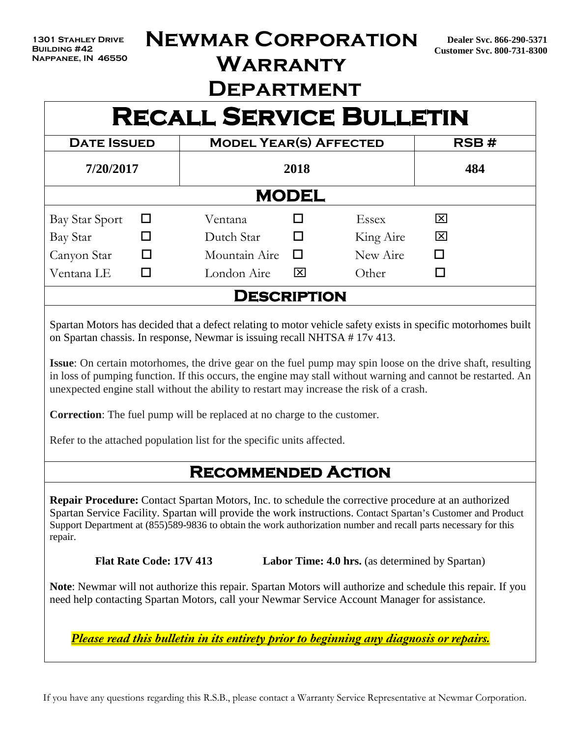# **Newmar Corporation**

**Warranty** 

# **Department**

# **RECALL SERVICE BULLETIN**

| <b>DATE ISSUED</b> |   | <b>MODEL YEAR(S) AFFECTED</b> | RSB#   |              |   |  |  |  |  |  |  |  |
|--------------------|---|-------------------------------|--------|--------------|---|--|--|--|--|--|--|--|
| 7/20/2017          |   | 2018                          | 484    |              |   |  |  |  |  |  |  |  |
| <b>MODEL</b>       |   |                               |        |              |   |  |  |  |  |  |  |  |
| Bay Star Sport     | ப | Ventana                       |        | <b>Essex</b> | 図 |  |  |  |  |  |  |  |
| Bay Star           |   | Dutch Star                    |        | King Aire    | 区 |  |  |  |  |  |  |  |
| Canyon Star        |   | Mountain Aire                 | $\Box$ | New Aire     | □ |  |  |  |  |  |  |  |
| Ventana LE         |   | London Aire                   | 囟      | Other        |   |  |  |  |  |  |  |  |
|                    |   | <b>DESCRIPTION</b>            |        |              |   |  |  |  |  |  |  |  |

Spartan Motors has decided that a defect relating to motor vehicle safety exists in specific motorhomes built on Spartan chassis. In response, Newmar is issuing recall NHTSA # 17v 413.

**Issue**: On certain motorhomes, the drive gear on the fuel pump may spin loose on the drive shaft, resulting in loss of pumping function. If this occurs, the engine may stall without warning and cannot be restarted. An unexpected engine stall without the ability to restart may increase the risk of a crash.

**Correction**: The fuel pump will be replaced at no charge to the customer.

Refer to the attached population list for the specific units affected.

## **Recommended Action**

**Repair Procedure:** Contact Spartan Motors, Inc. to schedule the corrective procedure at an authorized Spartan Service Facility. Spartan will provide the work instructions. Contact Spartan's Customer and Product Support Department at (855)589-9836 to obtain the work authorization number and recall parts necessary for this repair.

**Flat Rate Code: 17V 413** Labor Time: 4.0 hrs. (as determined by Spartan)

**Note**: Newmar will not authorize this repair. Spartan Motors will authorize and schedule this repair. If you need help contacting Spartan Motors, call your Newmar Service Account Manager for assistance.

 *Please read this bulletin in its entirety prior to beginning any diagnosis or repairs.*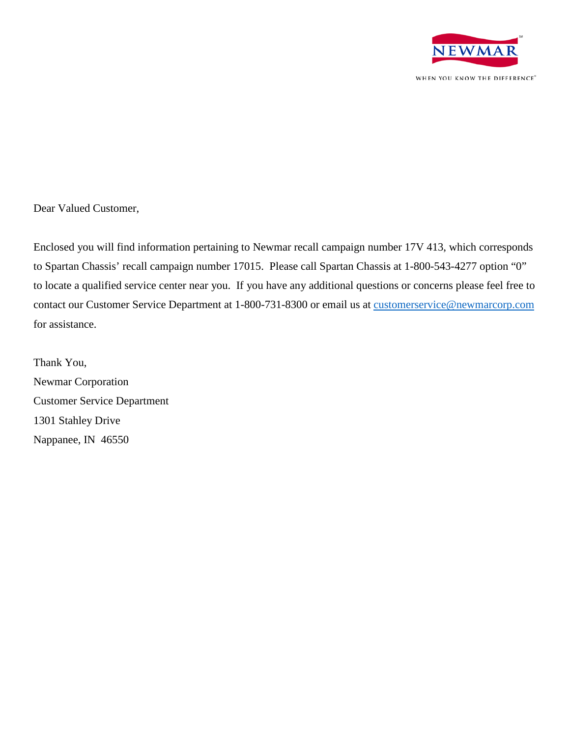

Dear Valued Customer,

Enclosed you will find information pertaining to Newmar recall campaign number 17V 413, which corresponds to Spartan Chassis' recall campaign number 17015. Please call Spartan Chassis at 1-800-543-4277 option "0" to locate a qualified service center near you. If you have any additional questions or concerns please feel free to contact our Customer Service Department at 1-800-731-8300 or email us at **customerservice@newmarcorp.com** for assistance.

Thank You, Newmar Corporation Customer Service Department 1301 Stahley Drive Nappanee, IN 46550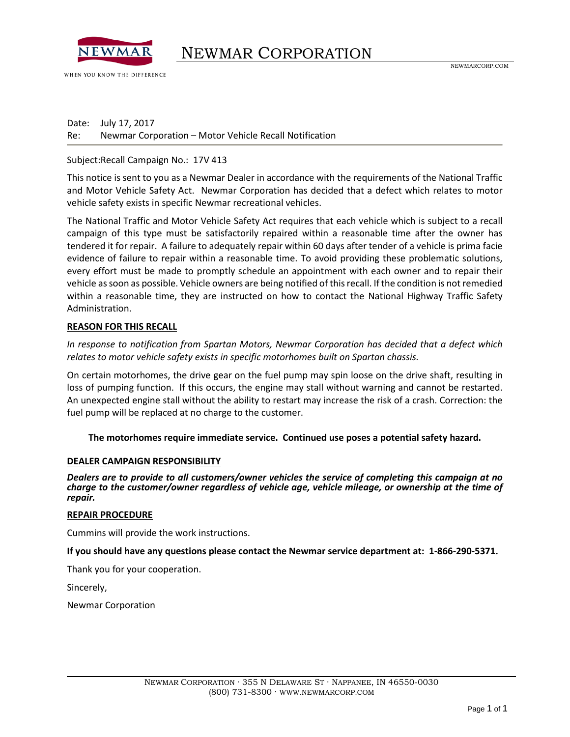

WHEN YOU KNOW THE DIFFERENCE

## NEWMAR CORPORATION

Date: July 17, 2017 Re: Newmar Corporation – Motor Vehicle Recall Notification

#### Subject:Recall Campaign No.: 17V 413

This notice is sent to you as a Newmar Dealer in accordance with the requirements of the National Traffic and Motor Vehicle Safety Act. Newmar Corporation has decided that a defect which relates to motor vehicle safety exists in specific Newmar recreational vehicles.

The National Traffic and Motor Vehicle Safety Act requires that each vehicle which is subject to a recall campaign of this type must be satisfactorily repaired within a reasonable time after the owner has tendered it for repair. A failure to adequately repair within 60 days after tender of a vehicle is prima facie evidence of failure to repair within a reasonable time. To avoid providing these problematic solutions, every effort must be made to promptly schedule an appointment with each owner and to repair their vehicle as soon as possible. Vehicle owners are being notified of this recall. If the condition is not remedied within a reasonable time, they are instructed on how to contact the National Highway Traffic Safety Administration.

#### **REASON FOR THIS RECALL**

*In response to notification from Spartan Motors, Newmar Corporation has decided that a defect which relates to motor vehicle safety exists in specific motorhomes built on Spartan chassis.* 

On certain motorhomes, the drive gear on the fuel pump may spin loose on the drive shaft, resulting in loss of pumping function. If this occurs, the engine may stall without warning and cannot be restarted. An unexpected engine stall without the ability to restart may increase the risk of a crash. Correction: the fuel pump will be replaced at no charge to the customer.

#### **The motorhomes require immediate service. Continued use poses a potential safety hazard.**

#### **DEALER CAMPAIGN RESPONSIBILITY**

*Dealers are to provide to all customers/owner vehicles the service of completing this campaign at no charge to the customer/owner regardless of vehicle age, vehicle mileage, or ownership at the time of repair.*

#### **REPAIR PROCEDURE**

Cummins will provide the work instructions.

#### **If you should have any questions please contact the Newmar service department at: 1-866-290-5371.**

Thank you for your cooperation.

Sincerely,

Newmar Corporation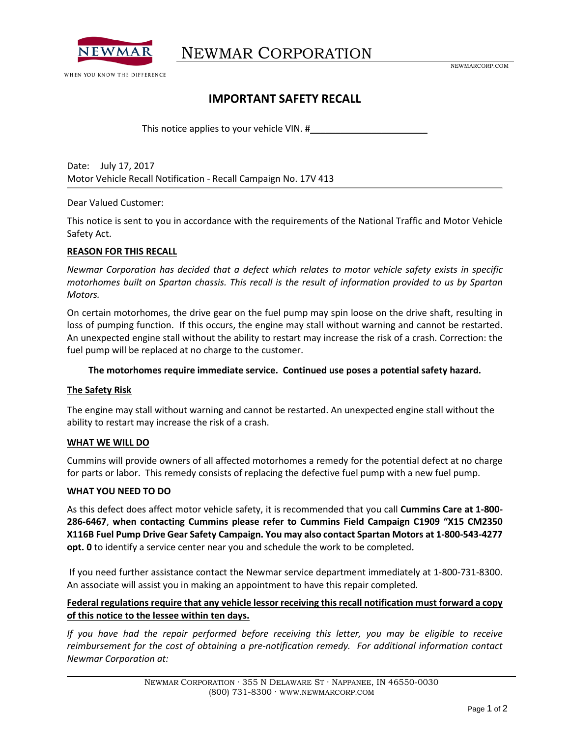

NEWMAR CORPORATION

NEWMARCORP.COM

### **IMPORTANT SAFETY RECALL**

This notice applies to your vehicle VIN. #

Date: July 17, 2017 Motor Vehicle Recall Notification - Recall Campaign No. 17V 413

Dear Valued Customer:

This notice is sent to you in accordance with the requirements of the National Traffic and Motor Vehicle Safety Act.

#### **REASON FOR THIS RECALL**

*Newmar Corporation has decided that a defect which relates to motor vehicle safety exists in specific motorhomes built on Spartan chassis. This recall is the result of information provided to us by Spartan Motors.*

On certain motorhomes, the drive gear on the fuel pump may spin loose on the drive shaft, resulting in loss of pumping function. If this occurs, the engine may stall without warning and cannot be restarted. An unexpected engine stall without the ability to restart may increase the risk of a crash. Correction: the fuel pump will be replaced at no charge to the customer.

#### **The motorhomes require immediate service. Continued use poses a potential safety hazard.**

#### **The Safety Risk**

The engine may stall without warning and cannot be restarted. An unexpected engine stall without the ability to restart may increase the risk of a crash.

#### **WHAT WE WILL DO**

Cummins will provide owners of all affected motorhomes a remedy for the potential defect at no charge for parts or labor. This remedy consists of replacing the defective fuel pump with a new fuel pump.

#### **WHAT YOU NEED TO DO**

As this defect does affect motor vehicle safety, it is recommended that you call **Cummins Care at 1-800- 286-6467**, **when contacting Cummins please refer to Cummins Field Campaign C1909 "X15 CM2350 X116B Fuel Pump Drive Gear Safety Campaign. You may also contact Spartan Motors at 1-800-543-4277 opt. 0** to identify a service center near you and schedule the work to be completed.

If you need further assistance contact the Newmar service department immediately at 1-800-731-8300. An associate will assist you in making an appointment to have this repair completed.

#### **Federal regulations require that any vehicle lessor receiving this recall notification must forward a copy of this notice to the lessee within ten days.**

*If you have had the repair performed before receiving this letter, you may be eligible to receive reimbursement for the cost of obtaining a pre-notification remedy. For additional information contact Newmar Corporation at:*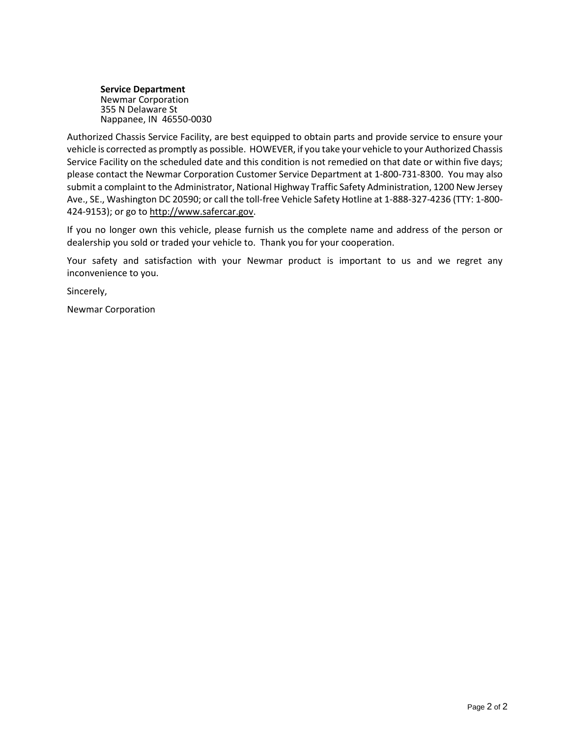**Service Department** Newmar Corporation 355 N Delaware St Nappanee, IN 46550-0030

Authorized Chassis Service Facility, are best equipped to obtain parts and provide service to ensure your vehicle is corrected as promptly as possible. HOWEVER, if you take your vehicle to your Authorized Chassis Service Facility on the scheduled date and this condition is not remedied on that date or within five days; please contact the Newmar Corporation Customer Service Department at 1-800-731-8300. You may also submit a complaint to the Administrator, National Highway Traffic Safety Administration, 1200 New Jersey Ave., SE., Washington DC 20590; or call the toll-free Vehicle Safety Hotline at 1-888-327-4236 (TTY: 1-800- 424-9153); or go t[o http://www.safercar.gov.](http://www.safercar.gov/)

If you no longer own this vehicle, please furnish us the complete name and address of the person or dealership you sold or traded your vehicle to. Thank you for your cooperation.

Your safety and satisfaction with your Newmar product is important to us and we regret any inconvenience to you.

Sincerely,

Newmar Corporation